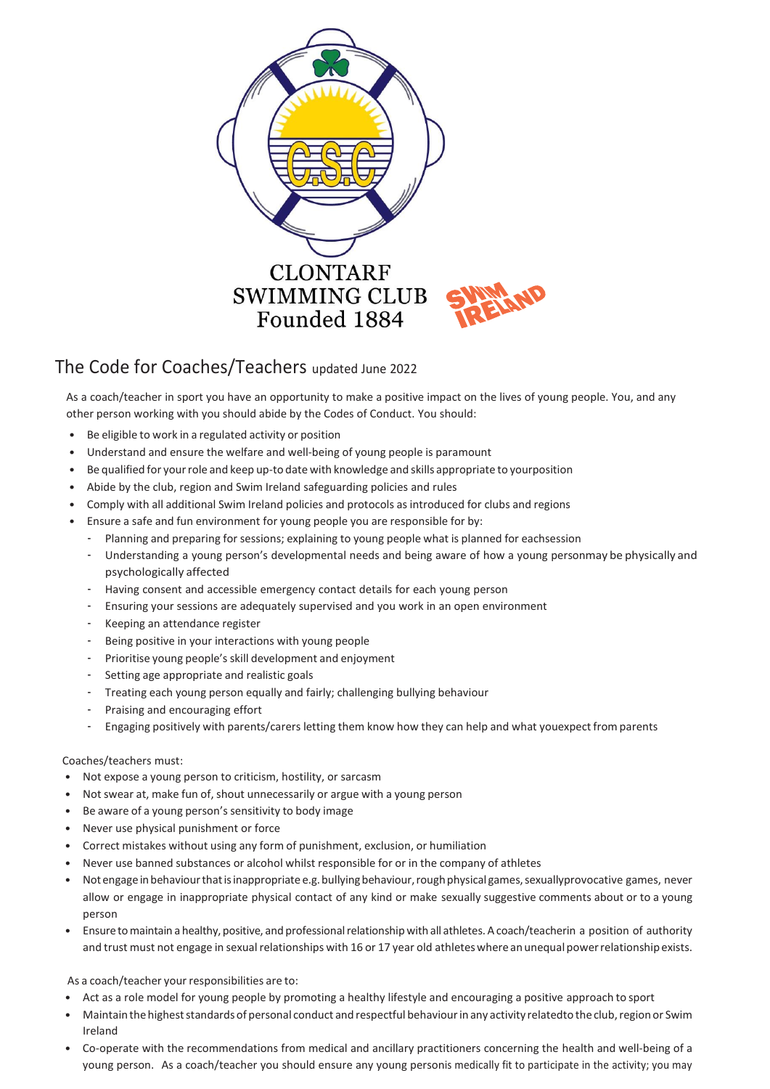

## The Code for Coaches/Teachers updated June <sup>2022</sup>

As a coach/teacher in sport you have an opportunity to make a positive impact on the lives of young people. You, and any other person working with you should abide by the Codes of Conduct. You should:

- Be eligible to work in a regulated activity or position
- Understand and ensure the welfare and well-being of young people is paramount
- Be qualified for yourrole and keep up-to date with knowledge and skills appropriate to yourposition
- Abide by the club, region and Swim Ireland safeguarding policies and rules
- Comply with all additional Swim Ireland policies and protocols as introduced for clubs and regions
- Ensure a safe and fun environment for young people you are responsible for by:
	- Planning and preparing for sessions; explaining to young people what is planned for eachsession
	- Understanding a young person's developmental needs and being aware of how a young personmay be physically and psychologically affected
	- Having consent and accessible emergency contact details for each young person
	- Ensuring your sessions are adequately supervised and you work in an open environment
	- Keeping an attendance register
	- Being positive in your interactions with young people
	- Prioritise young people's skill development and enjoyment
	- Setting age appropriate and realistic goals
	- Treating each young person equally and fairly; challenging bullying behaviour
	- Praising and encouraging effort
	- Engaging positively with parents/carers letting them know how they can help and what youexpect from parents

## Coaches/teachers must:

- Not expose a young person to criticism, hostility, or sarcasm
- Not swear at, make fun of, shout unnecessarily or argue with a young person
- Be aware of a young person's sensitivity to body image
- Never use physical punishment or force
- Correct mistakes without using any form of punishment, exclusion, or humiliation
- Never use banned substances or alcohol whilst responsible for or in the company of athletes
- Not engage in behaviour that is inappropriate e.g. bullying behaviour, rough physical games, sexuallyprovocative games, never allow or engage in inappropriate physical contact of any kind or make sexually suggestive comments about or to a young person
- Ensuretomaintain a healthy,positive, and professionalrelationship with all athletes.A coach/teacherin a position of authority and trust must not engage in sexual relationships with 16 or 17 year old athletes where an unequal power relationship exists.

As a coach/teacher your responsibilities are to:

- Act as a role model for young people by promoting a healthy lifestyle and encouraging a positive approach to sport
- Maintain the highest standards of personal conduct and respectful behaviour in any activity relatedto the club, region or Swim Ireland
- Co-operate with the recommendations from medical and ancillary practitioners concerning the health and well-being of a young person. As a coach/teacher you should ensure any young personis medically fit to participate in the activity; you may